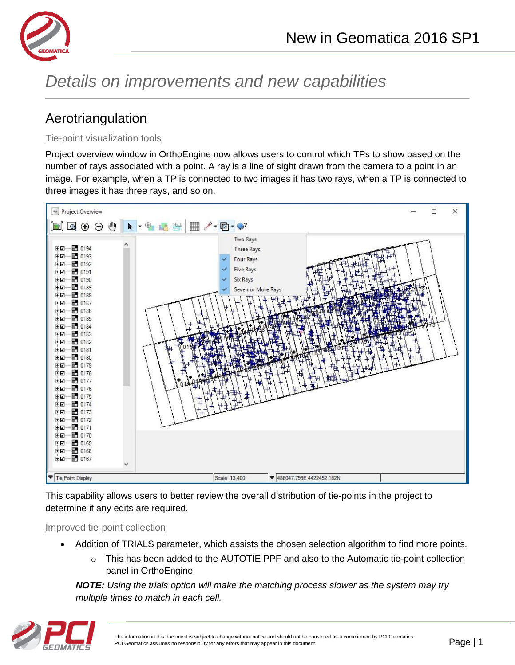

# *Details on improvements and new capabilities*

# Aerotriangulation

#### Tie-point visualization tools

Project overview window in OrthoEngine now allows users to control which TPs to show based on the number of rays associated with a point. A ray is a line of sight drawn from the camera to a point in an image. For example, when a TP is connected to two images it has two rays, when a TP is connected to three images it has three rays, and so on.



This capability allows users to better review the overall distribution of tie-points in the project to determine if any edits are required.

#### Improved tie-point collection

- Addition of TRIALS parameter, which assists the chosen selection algorithm to find more points.
	- o This has been added to the AUTOTIE PPF and also to the Automatic tie-point collection panel in OrthoEngine

*NOTE: Using the trials option will make the matching process slower as the system may try multiple times to match in each cell.*

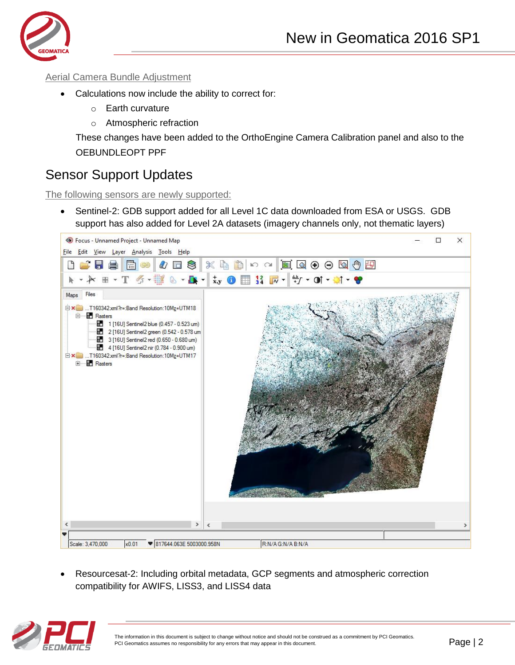

#### Aerial Camera Bundle Adjustment

- Calculations now include the ability to correct for:
	- o Earth curvature
	- o Atmospheric refraction

These changes have been added to the OrthoEngine Camera Calibration panel and also to the OEBUNDLEOPT PPF

### Sensor Support Updates

The following sensors are newly supported:

• Sentinel-2: GDB support added for all Level 1C data downloaded from ESA or USGS. GDB support has also added for Level 2A datasets (imagery channels only, not thematic layers)



 Resourcesat-2: Including orbital metadata, GCP segments and atmospheric correction compatibility for AWIFS, LISS3, and LISS4 data